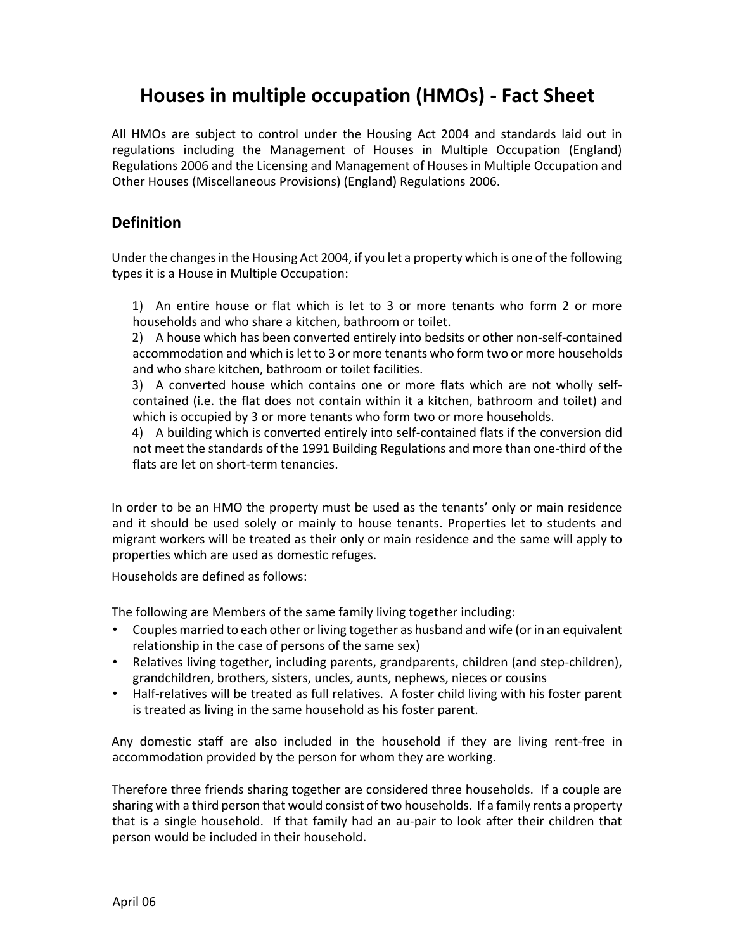# **Houses in multiple occupation (HMOs) - Fact Sheet**

All HMOs are subject to control under the Housing Act 2004 and standards laid out in regulations including the Management of Houses in Multiple Occupation (England) Regulations 2006 and the Licensing and Management of Houses in Multiple Occupation and Other Houses (Miscellaneous Provisions) (England) Regulations 2006.

#### **Definition**

Under the changes in the Housing Act 2004, if you let a property which is one of the following types it is a House in Multiple Occupation:

1) An entire house or flat which is let to 3 or more tenants who form 2 or more households and who share a kitchen, bathroom or toilet.

2) A house which has been converted entirely into bedsits or other non-self-contained accommodation and which is let to 3 or more tenants who form two or more households and who share kitchen, bathroom or toilet facilities.

3) A converted house which contains one or more flats which are not wholly selfcontained (i.e. the flat does not contain within it a kitchen, bathroom and toilet) and which is occupied by 3 or more tenants who form two or more households.

4) A building which is converted entirely into self-contained flats if the conversion did not meet the standards of the 1991 Building Regulations and more than one-third of the flats are let on short-term tenancies.

In order to be an HMO the property must be used as the tenants' only or main residence and it should be used solely or mainly to house tenants. Properties let to students and migrant workers will be treated as their only or main residence and the same will apply to properties which are used as domestic refuges.

Households are defined as follows:

The following are Members of the same family living together including:

- Couples married to each other or living together as husband and wife (or in an equivalent relationship in the case of persons of the same sex)
- Relatives living together, including parents, grandparents, children (and step-children), grandchildren, brothers, sisters, uncles, aunts, nephews, nieces or cousins
- Half-relatives will be treated as full relatives. A foster child living with his foster parent is treated as living in the same household as his foster parent.

Any domestic staff are also included in the household if they are living rent-free in accommodation provided by the person for whom they are working.

Therefore three friends sharing together are considered three households. If a couple are sharing with a third person that would consist of two households. If a family rents a property that is a single household. If that family had an au-pair to look after their children that person would be included in their household.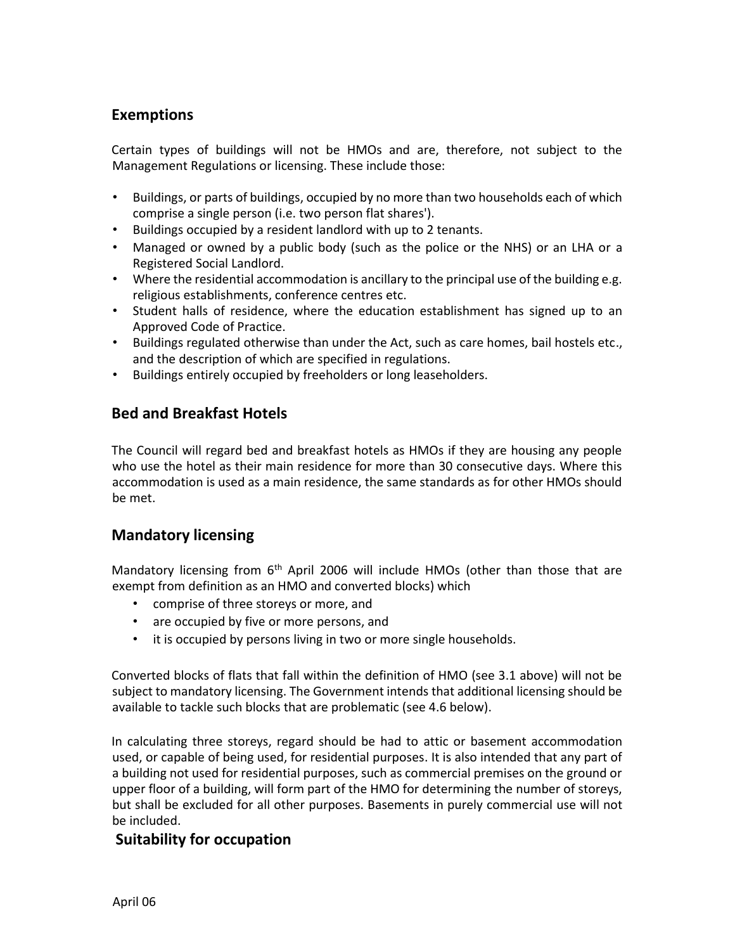#### **Exemptions**

Certain types of buildings will not be HMOs and are, therefore, not subject to the Management Regulations or licensing. These include those:

- Buildings, or parts of buildings, occupied by no more than two households each of which comprise a single person (i.e. two person flat shares').
- Buildings occupied by a resident landlord with up to 2 tenants.
- Managed or owned by a public body (such as the police or the NHS) or an LHA or a Registered Social Landlord.
- Where the residential accommodation is ancillary to the principal use of the building e.g. religious establishments, conference centres etc.
- Student halls of residence, where the education establishment has signed up to an Approved Code of Practice.
- Buildings regulated otherwise than under the Act, such as care homes, bail hostels etc., and the description of which are specified in regulations.
- Buildings entirely occupied by freeholders or long leaseholders.

# **Bed and Breakfast Hotels**

The Council will regard bed and breakfast hotels as HMOs if they are housing any people who use the hotel as their main residence for more than 30 consecutive days. Where this accommodation is used as a main residence, the same standards as for other HMOs should be met.

#### **Mandatory licensing**

Mandatory licensing from  $6<sup>th</sup>$  April 2006 will include HMOs (other than those that are exempt from definition as an HMO and converted blocks) which

- comprise of three storeys or more, and
- are occupied by five or more persons, and
- it is occupied by persons living in two or more single households.

Converted blocks of flats that fall within the definition of HMO (see 3.1 above) will not be subject to mandatory licensing. The Government intends that additional licensing should be available to tackle such blocks that are problematic (see 4.6 below).

In calculating three storeys, regard should be had to attic or basement accommodation used, or capable of being used, for residential purposes. It is also intended that any part of a building not used for residential purposes, such as commercial premises on the ground or upper floor of a building, will form part of the HMO for determining the number of storeys, but shall be excluded for all other purposes. Basements in purely commercial use will not be included.

#### **Suitability for occupation**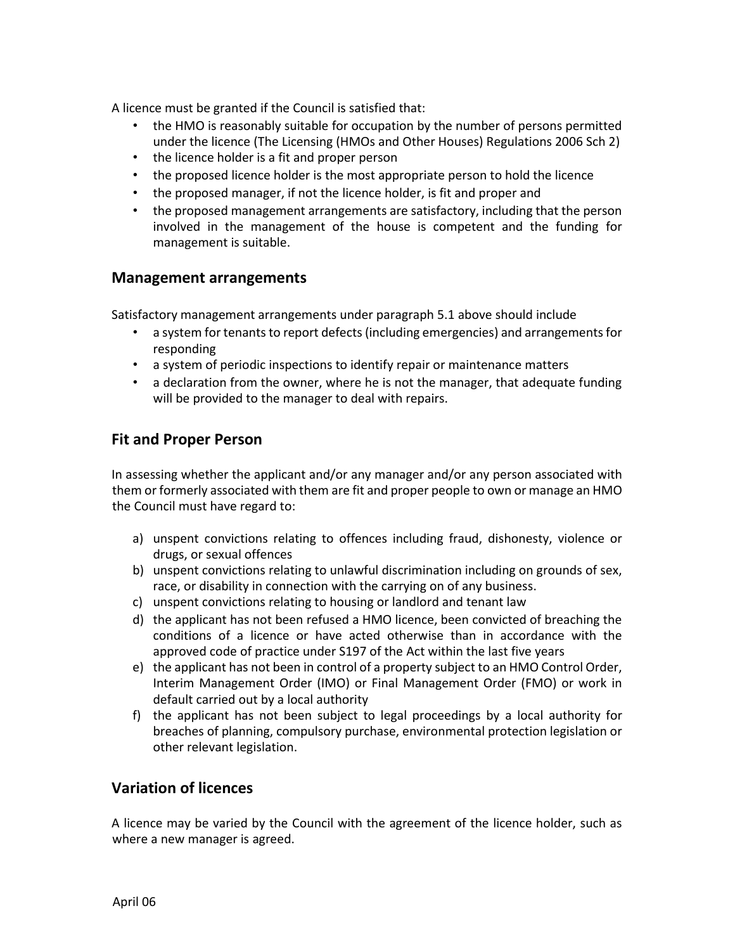A licence must be granted if the Council is satisfied that:

- the HMO is reasonably suitable for occupation by the number of persons permitted under the licence (The Licensing (HMOs and Other Houses) Regulations 2006 Sch 2)
- the licence holder is a fit and proper person
- the proposed licence holder is the most appropriate person to hold the licence
- the proposed manager, if not the licence holder, is fit and proper and
- the proposed management arrangements are satisfactory, including that the person involved in the management of the house is competent and the funding for management is suitable.

#### **Management arrangements**

Satisfactory management arrangements under paragraph 5.1 above should include

- a system for tenants to report defects (including emergencies) and arrangements for responding
- a system of periodic inspections to identify repair or maintenance matters
- a declaration from the owner, where he is not the manager, that adequate funding will be provided to the manager to deal with repairs.

#### **Fit and Proper Person**

In assessing whether the applicant and/or any manager and/or any person associated with them or formerly associated with them are fit and proper people to own or manage an HMO the Council must have regard to:

- a) unspent convictions relating to offences including fraud, dishonesty, violence or drugs, or sexual offences
- b) unspent convictions relating to unlawful discrimination including on grounds of sex, race, or disability in connection with the carrying on of any business.
- c) unspent convictions relating to housing or landlord and tenant law
- d) the applicant has not been refused a HMO licence, been convicted of breaching the conditions of a licence or have acted otherwise than in accordance with the approved code of practice under S197 of the Act within the last five years
- e) the applicant has not been in control of a property subject to an HMO Control Order, Interim Management Order (IMO) or Final Management Order (FMO) or work in default carried out by a local authority
- f) the applicant has not been subject to legal proceedings by a local authority for breaches of planning, compulsory purchase, environmental protection legislation or other relevant legislation.

#### **Variation of licences**

A licence may be varied by the Council with the agreement of the licence holder, such as where a new manager is agreed.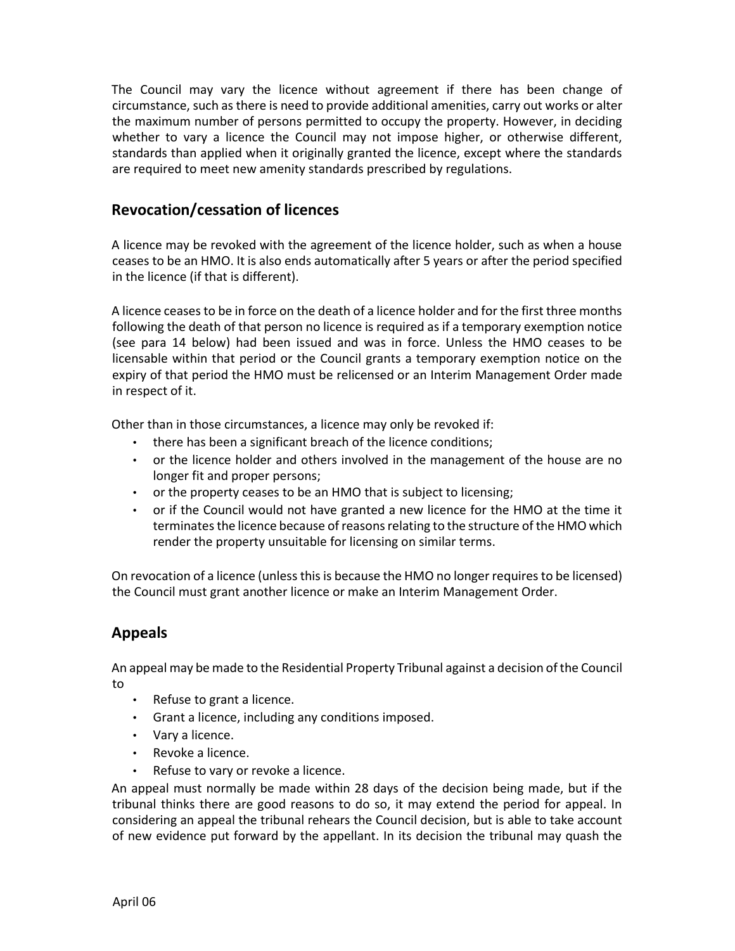The Council may vary the licence without agreement if there has been change of circumstance, such as there is need to provide additional amenities, carry out works or alter the maximum number of persons permitted to occupy the property. However, in deciding whether to vary a licence the Council may not impose higher, or otherwise different, standards than applied when it originally granted the licence, except where the standards are required to meet new amenity standards prescribed by regulations.

# **Revocation/cessation of licences**

A licence may be revoked with the agreement of the licence holder, such as when a house ceases to be an HMO. It is also ends automatically after 5 years or after the period specified in the licence (if that is different).

A licence ceases to be in force on the death of a licence holder and for the first three months following the death of that person no licence is required as if a temporary exemption notice (see para 14 below) had been issued and was in force. Unless the HMO ceases to be licensable within that period or the Council grants a temporary exemption notice on the expiry of that period the HMO must be relicensed or an Interim Management Order made in respect of it.

Other than in those circumstances, a licence may only be revoked if:

- there has been a significant breach of the licence conditions;
- or the licence holder and others involved in the management of the house are no longer fit and proper persons;
- or the property ceases to be an HMO that is subject to licensing;
- or if the Council would not have granted a new licence for the HMO at the time it terminates the licence because of reasons relating to the structure of the HMO which render the property unsuitable for licensing on similar terms.

On revocation of a licence (unless this is because the HMO no longer requires to be licensed) the Council must grant another licence or make an Interim Management Order.

# **Appeals**

An appeal may be made to the Residential Property Tribunal against a decision of the Council to

- Refuse to grant a licence.
- Grant a licence, including any conditions imposed.
- Vary a licence.
- Revoke a licence.
- Refuse to vary or revoke a licence.

An appeal must normally be made within 28 days of the decision being made, but if the tribunal thinks there are good reasons to do so, it may extend the period for appeal. In considering an appeal the tribunal rehears the Council decision, but is able to take account of new evidence put forward by the appellant. In its decision the tribunal may quash the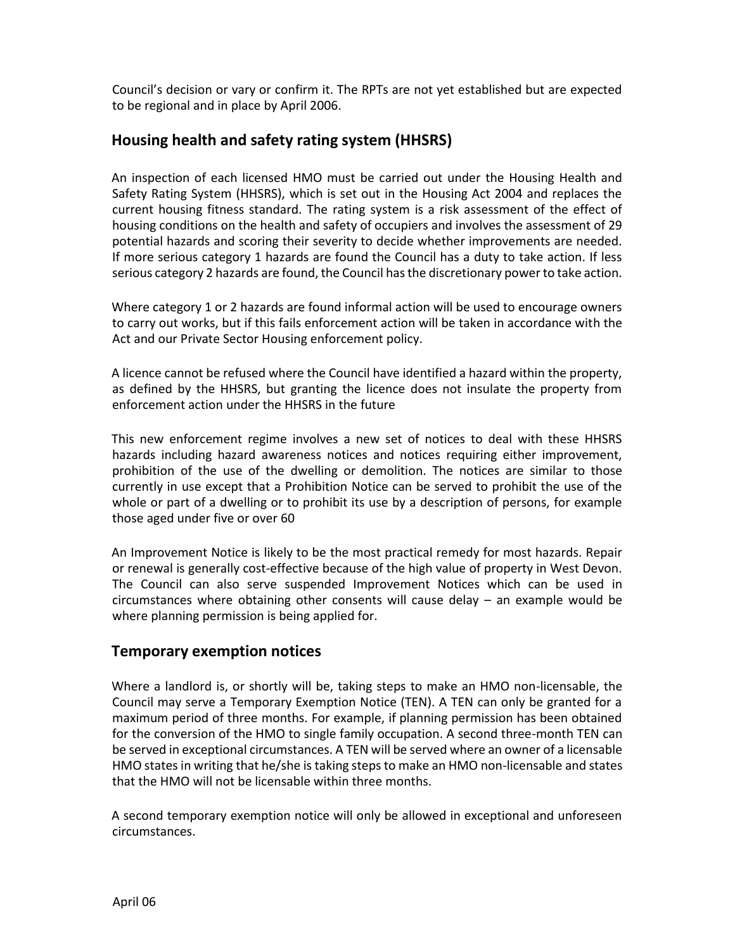Council's decision or vary or confirm it. The RPTs are not yet established but are expected to be regional and in place by April 2006.

# **Housing health and safety rating system (HHSRS)**

An inspection of each licensed HMO must be carried out under the Housing Health and Safety Rating System (HHSRS), which is set out in the Housing Act 2004 and replaces the current housing fitness standard. The rating system is a risk assessment of the effect of housing conditions on the health and safety of occupiers and involves the assessment of 29 potential hazards and scoring their severity to decide whether improvements are needed. If more serious category 1 hazards are found the Council has a duty to take action. If less serious category 2 hazards are found, the Council has the discretionary power to take action.

Where category 1 or 2 hazards are found informal action will be used to encourage owners to carry out works, but if this fails enforcement action will be taken in accordance with the Act and our Private Sector Housing enforcement policy.

A licence cannot be refused where the Council have identified a hazard within the property, as defined by the HHSRS, but granting the licence does not insulate the property from enforcement action under the HHSRS in the future

This new enforcement regime involves a new set of notices to deal with these HHSRS hazards including hazard awareness notices and notices requiring either improvement, prohibition of the use of the dwelling or demolition. The notices are similar to those currently in use except that a Prohibition Notice can be served to prohibit the use of the whole or part of a dwelling or to prohibit its use by a description of persons, for example those aged under five or over 60

An Improvement Notice is likely to be the most practical remedy for most hazards. Repair or renewal is generally cost-effective because of the high value of property in West Devon. The Council can also serve suspended Improvement Notices which can be used in circumstances where obtaining other consents will cause delay – an example would be where planning permission is being applied for.

#### **Temporary exemption notices**

Where a landlord is, or shortly will be, taking steps to make an HMO non-licensable, the Council may serve a Temporary Exemption Notice (TEN). A TEN can only be granted for a maximum period of three months. For example, if planning permission has been obtained for the conversion of the HMO to single family occupation. A second three-month TEN can be served in exceptional circumstances. A TEN will be served where an owner of a licensable HMO states in writing that he/she is taking steps to make an HMO non-licensable and states that the HMO will not be licensable within three months.

A second temporary exemption notice will only be allowed in exceptional and unforeseen circumstances.